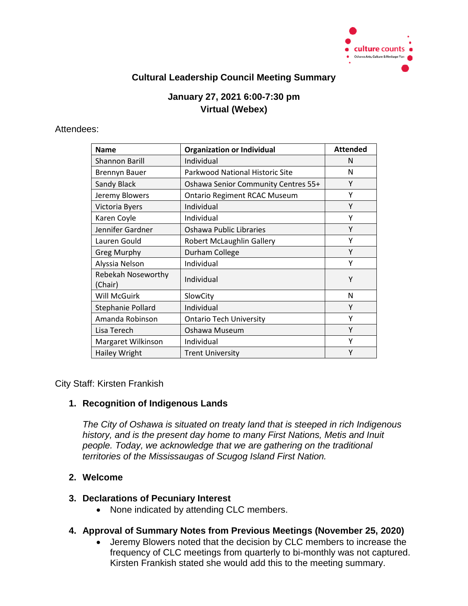

## **Cultural Leadership Council Meeting Summary**

# **January 27, 2021 6:00-7:30 pm Virtual (Webex)**

#### Attendees:

| <b>Name</b>                          | <b>Organization or Individual</b>   | <b>Attended</b> |
|--------------------------------------|-------------------------------------|-----------------|
| <b>Shannon Barill</b>                | Individual                          | N               |
| <b>Brennyn Bauer</b>                 | Parkwood National Historic Site     | N               |
| <b>Sandy Black</b>                   | Oshawa Senior Community Centres 55+ | Υ               |
| Jeremy Blowers                       | <b>Ontario Regiment RCAC Museum</b> | Υ               |
| Victoria Byers                       | Individual                          | Υ               |
| Karen Coyle                          | Individual                          | Υ               |
| Jennifer Gardner                     | Oshawa Public Libraries             | Υ               |
| Lauren Gould                         | <b>Robert McLaughlin Gallery</b>    | Υ               |
| <b>Greg Murphy</b>                   | Durham College                      | Υ               |
| Alyssia Nelson                       | Individual                          | Υ               |
| <b>Rebekah Noseworthy</b><br>(Chair) | Individual                          | Υ               |
| Will McGuirk                         | SlowCity                            | N               |
| Stephanie Pollard                    | Individual                          | Υ               |
| Amanda Robinson                      | <b>Ontario Tech University</b>      | Υ               |
| Lisa Terech                          | Oshawa Museum                       | Υ               |
| Margaret Wilkinson                   | Individual                          | Υ               |
| <b>Hailey Wright</b>                 | <b>Trent University</b>             | Υ               |

City Staff: Kirsten Frankish

#### **1. Recognition of Indigenous Lands**

*The City of Oshawa is situated on treaty land that is steeped in rich Indigenous history, and is the present day home to many First Nations, Metis and Inuit people. Today, we acknowledge that we are gathering on the traditional territories of the Mississaugas of Scugog Island First Nation.*

### **2. Welcome**

#### **3. Declarations of Pecuniary Interest**

• None indicated by attending CLC members.

#### **4. Approval of Summary Notes from Previous Meetings (November 25, 2020)**

 Jeremy Blowers noted that the decision by CLC members to increase the frequency of CLC meetings from quarterly to bi-monthly was not captured. Kirsten Frankish stated she would add this to the meeting summary.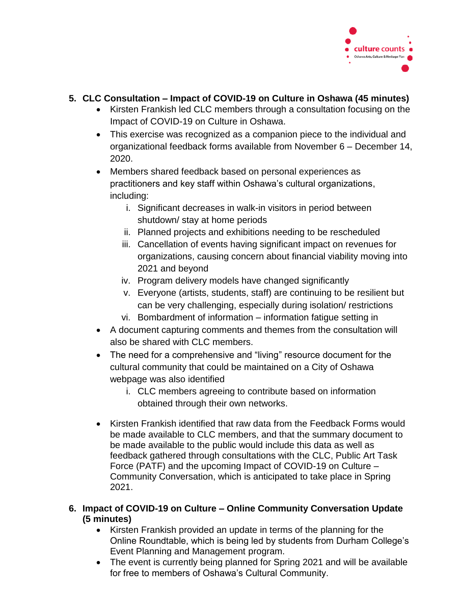

## **5. CLC Consultation – Impact of COVID-19 on Culture in Oshawa (45 minutes)**

- Kirsten Frankish led CLC members through a consultation focusing on the Impact of COVID-19 on Culture in Oshawa.
- This exercise was recognized as a companion piece to the individual and organizational feedback forms available from November 6 – December 14, 2020.
- Members shared feedback based on personal experiences as practitioners and key staff within Oshawa's cultural organizations, including:
	- i. Significant decreases in walk-in visitors in period between shutdown/ stay at home periods
	- ii. Planned projects and exhibitions needing to be rescheduled
	- iii. Cancellation of events having significant impact on revenues for organizations, causing concern about financial viability moving into 2021 and beyond
	- iv. Program delivery models have changed significantly
	- v. Everyone (artists, students, staff) are continuing to be resilient but can be very challenging, especially during isolation/ restrictions
	- vi. Bombardment of information information fatigue setting in
- A document capturing comments and themes from the consultation will also be shared with CLC members.
- The need for a comprehensive and "living" resource document for the cultural community that could be maintained on a City of Oshawa webpage was also identified
	- i. CLC members agreeing to contribute based on information obtained through their own networks.
- Kirsten Frankish identified that raw data from the Feedback Forms would be made available to CLC members, and that the summary document to be made available to the public would include this data as well as feedback gathered through consultations with the CLC, Public Art Task Force (PATF) and the upcoming Impact of COVID-19 on Culture – Community Conversation, which is anticipated to take place in Spring 2021.
- **6. Impact of COVID-19 on Culture Online Community Conversation Update (5 minutes)** 
	- Kirsten Frankish provided an update in terms of the planning for the Online Roundtable, which is being led by students from Durham College's Event Planning and Management program.
	- The event is currently being planned for Spring 2021 and will be available for free to members of Oshawa's Cultural Community.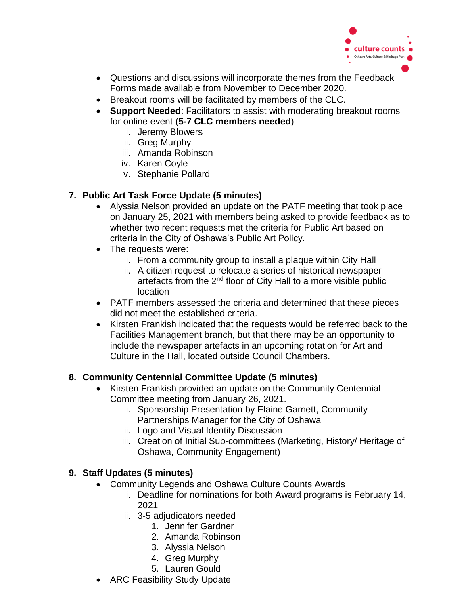

- Questions and discussions will incorporate themes from the Feedback Forms made available from November to December 2020.
- Breakout rooms will be facilitated by members of the CLC.
- **Support Needed**: Facilitators to assist with moderating breakout rooms for online event (**5-7 CLC members needed**)
	- i. Jeremy Blowers
	- ii. Greg Murphy
	- iii. Amanda Robinson
	- iv. Karen Coyle
	- v. Stephanie Pollard

# **7. Public Art Task Force Update (5 minutes)**

- Alyssia Nelson provided an update on the PATF meeting that took place on January 25, 2021 with members being asked to provide feedback as to whether two recent requests met the criteria for Public Art based on criteria in the City of Oshawa's Public Art Policy.
- The requests were:
	- i. From a community group to install a plaque within City Hall
	- ii. A citizen request to relocate a series of historical newspaper artefacts from the 2<sup>nd</sup> floor of City Hall to a more visible public location
- PATF members assessed the criteria and determined that these pieces did not meet the established criteria.
- Kirsten Frankish indicated that the requests would be referred back to the Facilities Management branch, but that there may be an opportunity to include the newspaper artefacts in an upcoming rotation for Art and Culture in the Hall, located outside Council Chambers.

# **8. Community Centennial Committee Update (5 minutes)**

- Kirsten Frankish provided an update on the Community Centennial Committee meeting from January 26, 2021.
	- i. Sponsorship Presentation by Elaine Garnett, Community Partnerships Manager for the City of Oshawa
	- ii. Logo and Visual Identity Discussion
	- iii. Creation of Initial Sub-committees (Marketing, History/ Heritage of Oshawa, Community Engagement)

# **9. Staff Updates (5 minutes)**

- Community Legends and Oshawa Culture Counts Awards
	- i. Deadline for nominations for both Award programs is February 14, 2021
	- ii. 3-5 adjudicators needed
		- 1. Jennifer Gardner
		- 2. Amanda Robinson
		- 3. Alyssia Nelson
		- 4. Greg Murphy
		- 5. Lauren Gould
- ARC Feasibility Study Update